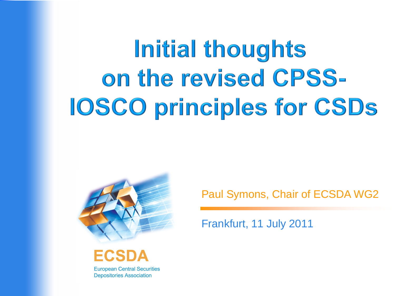# Initial thoughts on the revised CPSS-**IOSCO principles for CSDs**



ECSDA

**European Central Securities Depositories Association** 

Paul Symons, Chair of ECSDA WG2

Frankfurt, 11 July 2011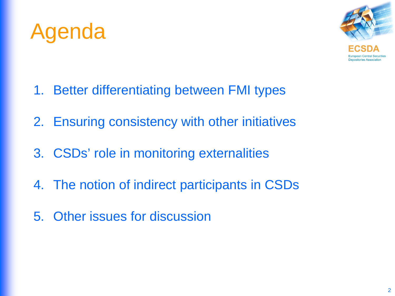



- 1. Better differentiating between FMI types
- 2. Ensuring consistency with other initiatives
- 3. CSDs' role in monitoring externalities
- 4. The notion of indirect participants in CSDs
- 5. Other issues for discussion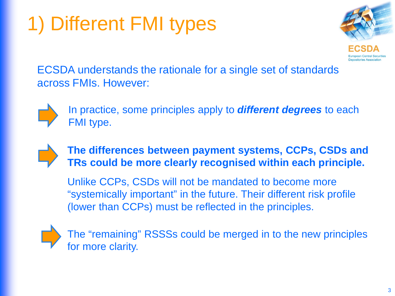### 1) Different FMI types



ECSDA understands the rationale for a single set of standards across FMIs. However:



In practice, some principles apply to *different degrees* to each FMI type.



#### **The differences between payment systems, CCPs, CSDs and TRs could be more clearly recognised within each principle.**

Unlike CCPs, CSDs will not be mandated to become more "systemically important" in the future. Their different risk profile (lower than CCPs) must be reflected in the principles.

The "remaining" RSSSs could be merged in to the new principles for more clarity.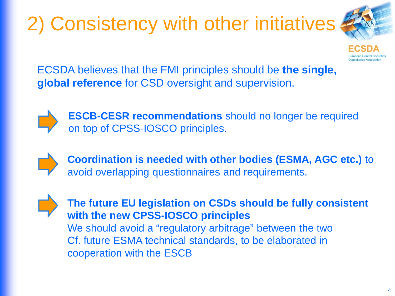## 2) Consistency with other initiatives



ECSDA believes that the FMI principles should be **the single, global reference** for CSD oversight and supervision.



**ESCB-CESR recommendations** should no longer be required on top of CPSS-IOSCO principles.

**Coordination is needed with other bodies (ESMA, AGC etc.)** to avoid overlapping questionnaires and requirements.

**The future EU legislation on CSDs should be fully consistent with the new CPSS-IOSCO principles** We should avoid a "regulatory arbitrage" between the two Cf. future ESMA technical standards, to be elaborated in cooperation with the ESCB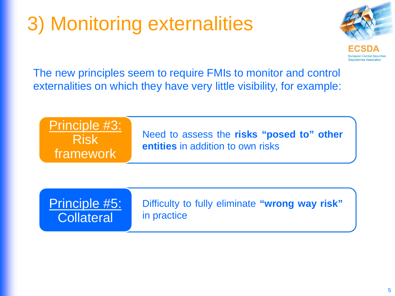### 3) Monitoring externalities



The new principles seem to require FMIs to monitor and control externalities on which they have very little visibility, for example:



Principle #5: **Collateral** 

Difficulty to fully eliminate **"wrong way risk"** in practice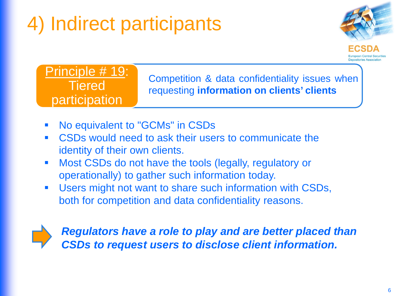### 4) Indirect participants



Principle # 19: **Tiered** participation

Competition & data confidentiality issues when requesting **information on clients' clients**

- No equivalent to "GCMs" in CSDs
- **CSDs would need to ask their users to communicate the** identity of their own clients.
- **Most CSDs do not have the tools (legally, regulatory or** operationally) to gather such information today.
- **Users might not want to share such information with CSDs,** both for competition and data confidentiality reasons.



*Regulators have a role to play and are better placed than CSDs to request users to disclose client information.*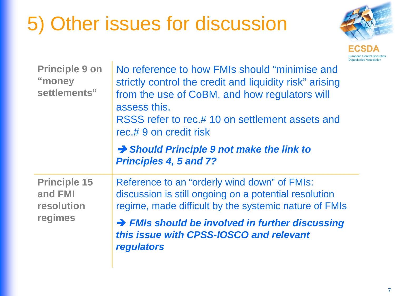### 5) Other issues for discussion



| <b>Principle 9 on</b><br>"money<br>settlements"         | No reference to how FMIs should "minimise and<br>strictly control the credit and liquidity risk" arising<br>from the use of CoBM, and how regulators will<br>assess this.<br>RSSS refer to rec.# 10 on settlement assets and<br>rec.# 9 on credit risk |
|---------------------------------------------------------|--------------------------------------------------------------------------------------------------------------------------------------------------------------------------------------------------------------------------------------------------------|
|                                                         | $\rightarrow$ Should Principle 9 not make the link to<br><b>Principles 4, 5 and 7?</b>                                                                                                                                                                 |
| <b>Principle 15</b><br>and FMI<br>resolution<br>regimes | Reference to an "orderly wind down" of FMIs:<br>discussion is still ongoing on a potential resolution<br>regime, made difficult by the systemic nature of FMIs                                                                                         |
|                                                         | > FMIs should be involved in further discussing<br>this issue with CPSS-IOSCO and relevant<br>regulators                                                                                                                                               |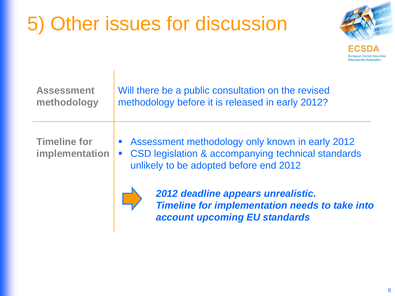### 5) Other issues for discussion



| <b>Assessment</b>                     | Will there be a public consultation on the revised                                                                                              |
|---------------------------------------|-------------------------------------------------------------------------------------------------------------------------------------------------|
| methodology                           | methodology before it is released in early 2012?                                                                                                |
| <b>Timeline for</b><br>implementation | Assessment methodology only known in early 2012<br>CSD legislation & accompanying technical standards<br>unlikely to be adopted before end 2012 |



*2012 deadline appears unrealistic. Timeline for implementation needs to take into account upcoming EU standards*